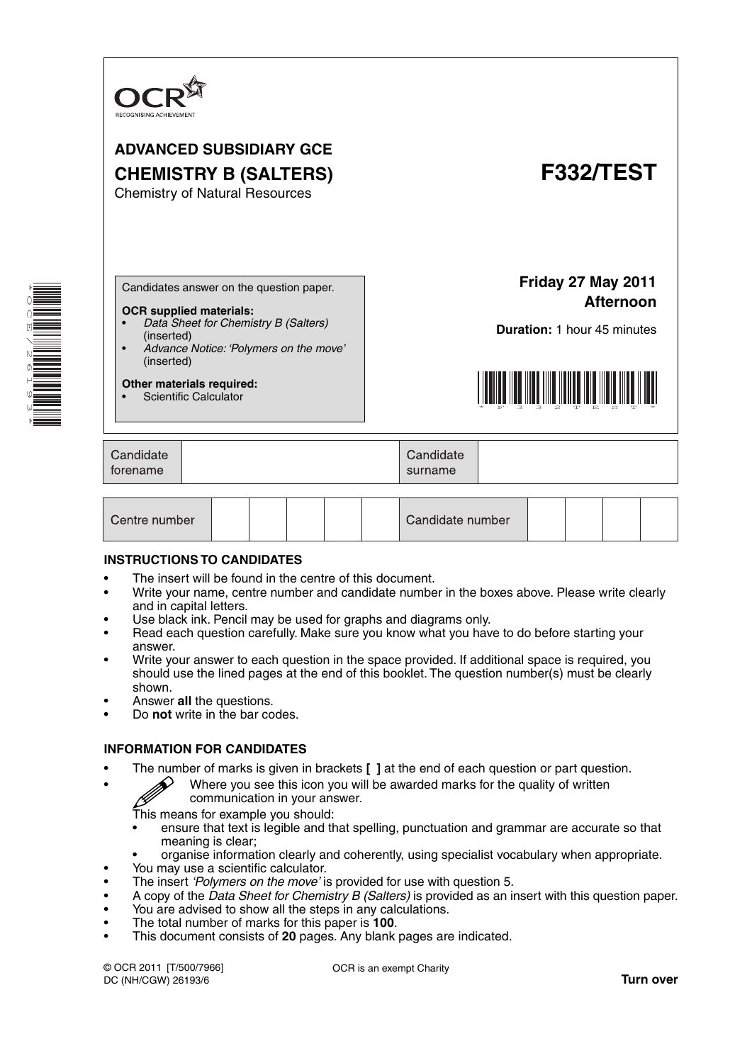

# **ADVANCED SUBSIDIARY GCE CHEMISTRY B (SALTERS) F332/TEST**

Chemistry of Natural Resources



Candidates answer on the question paper.

#### **OCR supplied materials:**

- *Data Sheet for Chemistry B (Salters)* (inserted)
- *Advance Notice: 'Polymers on the move'* (inserted)

**Other materials required:** • Scientific Calculator

**Friday 27 May 2011 Afternoon**

**Duration:** 1 hour 45 minutes



| Candidate<br>Candidate<br>torename<br>surname |  |
|-----------------------------------------------|--|
|-----------------------------------------------|--|

| Centre number |  |  |  |  |  | Candidate number |  |  |  |  |  |
|---------------|--|--|--|--|--|------------------|--|--|--|--|--|
|---------------|--|--|--|--|--|------------------|--|--|--|--|--|

#### **INSTRUCTIONS TO CANDIDATES**

- The insert will be found in the centre of this document.
- Write your name, centre number and candidate number in the boxes above. Please write clearly and in capital letters.
- Use black ink. Pencil may be used for graphs and diagrams only.
- Read each question carefully. Make sure you know what you have to do before starting your answer.
- Write your answer to each question in the space provided. If additional space is required, you should use the lined pages at the end of this booklet. The question number(s) must be clearly shown.
- Answer **all** the questions.
- Do **not** write in the bar codes.

#### **INFORMATION FOR CANDIDATES**

- The number of marks is given in brackets **[ ]** at the end of each question or part question.
	- Where you see this icon you will be awarded marks for the quality of written communication in your answer. communication in your answer.

This means for example you should:

- ensure that text is legible and that spelling, punctuation and grammar are accurate so that meaning is clear;
- organise information clearly and coherently, using specialist vocabulary when appropriate.
- You may use a scientific calculator.
- The insert *'Polymers on the move'* is provided for use with question 5.
- A copy of the *Data Sheet for Chemistry B (Salters)* is provided as an insert with this question paper.
- You are advised to show all the steps in any calculations.
- The total number of marks for this paper is **100**.
- This document consists of **20** pages. Any blank pages are indicated.

© OCR 2011 [T/500/7966] DC (NH/CGW) 26193/6

OCR is an exempt Charity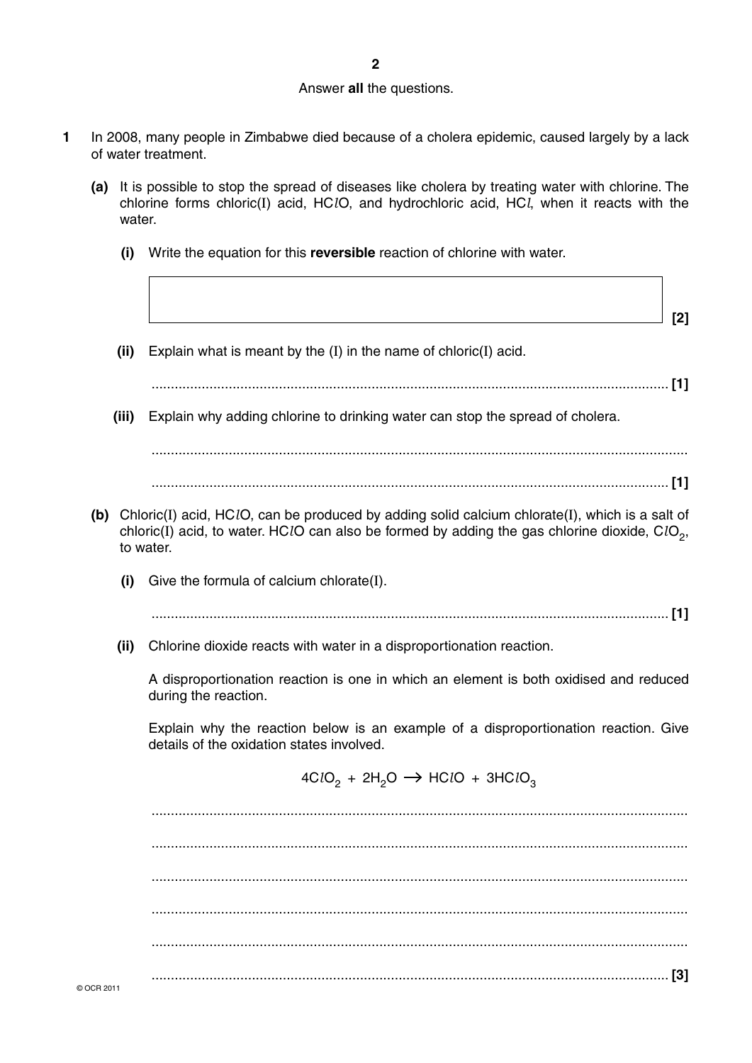#### Answer **all** the questions.

- **1** In 2008, many people in Zimbabwe died because of a cholera epidemic, caused largely by a lack of water treatment.
	- **(a)** It is possible to stop the spread of diseases like cholera by treating water with chlorine. The chlorine forms chloric(I) acid, HC*l*O, and hydrochloric acid, HC*l*, when it reacts with the water.
		- **(i)** Write the equation for this **reversible** reaction of chlorine with water.
- **[2]**
	- **(ii)** Explain what is meant by the (I) in the name of chloric(I) acid.
	- ...................................................................................................................................... **[1]**
	- **(iii)** Explain why adding chlorine to drinking water can stop the spread of cholera.

 ........................................................................................................................................... ...................................................................................................................................... **[1]**

- **(b)** Chloric(I) acid, HC*l*O, can be produced by adding solid calcium chlorate(I), which is a salt of chloric(I) acid, to water. HClO can also be formed by adding the gas chlorine dioxide, ClO<sub>2</sub>, to water.
	- **(i)** Give the formula of calcium chlorate(I).

...................................................................................................................................... **[1]**

 **(ii)** Chlorine dioxide reacts with water in a disproportionation reaction.

A disproportionation reaction is one in which an element is both oxidised and reduced during the reaction.

Explain why the reaction below is an example of a disproportionation reaction. Give details of the oxidation states involved.

 $4CIO_2 + 2H_2O \rightarrow HClO + 3HClO_3$ 

 ........................................................................................................................................... ........................................................................................................................................... ........................................................................................................................................... ........................................................................................................................................... ........................................................................................................................................... ...................................................................................................................................... **[3]**

© OCR 2011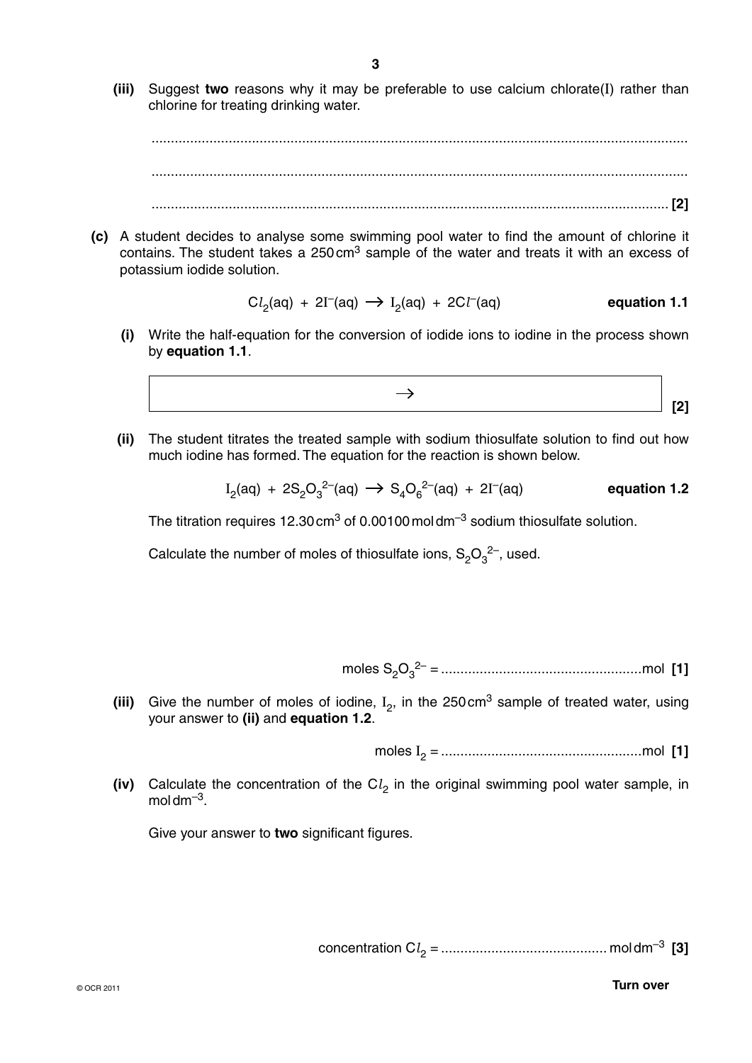**(iii)** Suggest **two** reasons why it may be preferable to use calcium chlorate(I) rather than chlorine for treating drinking water.

 ........................................................................................................................................... ........................................................................................................................................... ...................................................................................................................................... **[2]**

 **(c)** A student decides to analyse some swimming pool water to find the amount of chlorine it contains. The student takes a  $250 \text{ cm}^3$  sample of the water and treats it with an excess of potassium iodide solution.

$$
Cl_2(aq) + 2I^-(aq) \rightarrow I_2(aq) + 2Cl^-(aq) \qquad \qquad \text{equation 1.1}
$$

 **(i)** Write the half-equation for the conversion of iodide ions to iodine in the process shown by **equation 1.1**.



 **(ii)** The student titrates the treated sample with sodium thiosulfate solution to find out how much iodine has formed. The equation for the reaction is shown below.

$$
I_2(aq) + 2S_2O_3^{2-}(aq) \rightarrow S_4O_6^{2-}(aq) + 2I^-(aq) \qquad \qquad \text{equation 1.2}
$$

The titration requires 12.30 cm<sup>3</sup> of 0.00100 moldm<sup>-3</sup> sodium thiosulfate solution.

Calculate the number of moles of thiosulfate ions,  $\mathsf{S}_2\mathsf{O}_3{}^{2-}$ , used.

moles S2O3 2– = ....................................................mol **[1]**

(iii) Give the number of moles of iodine,  $I_2$ , in the 250 cm<sup>3</sup> sample of treated water, using your answer to **(ii)** and **equation 1.2**.

moles I 2 = ....................................................mol **[1]**

**(iv)** Calculate the concentration of the Cl<sub>2</sub> in the original swimming pool water sample, in  $mol \, \text{dm}^{-3}$ .

Give your answer to **two** significant figures.

concentration C*l*2 = ........................................... mol dm–3 **[3]**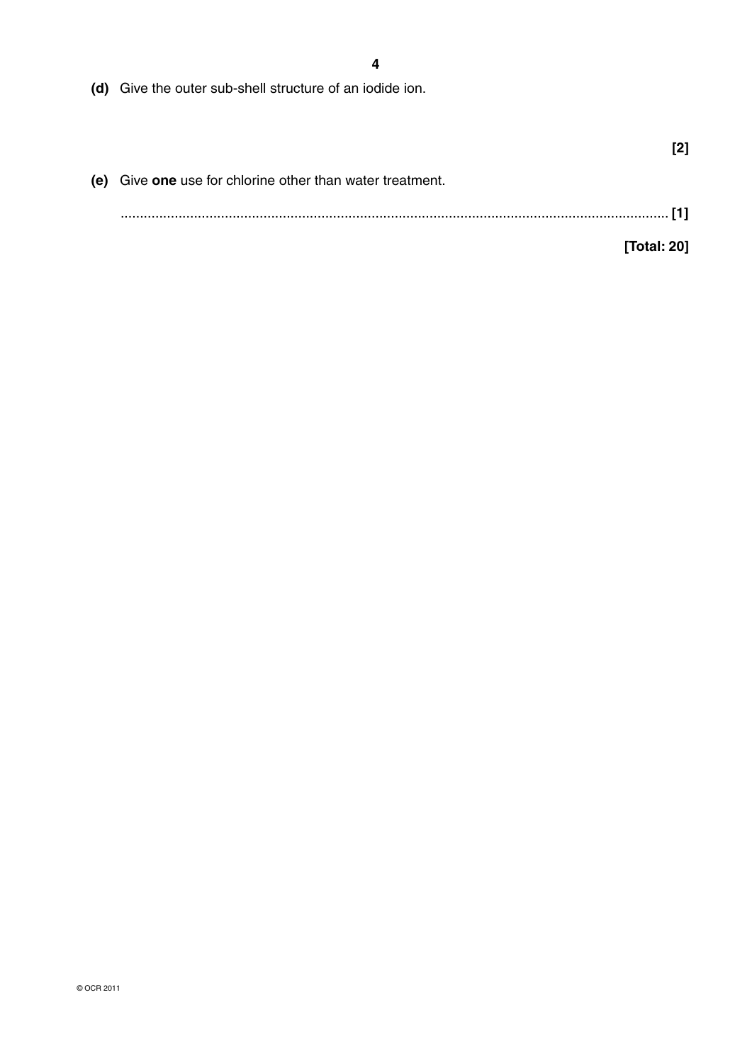**4**

 **(d)** Give the outer sub-shell structure of an iodide ion.

| (e) Give one use for chlorine other than water treatment. |  |
|-----------------------------------------------------------|--|
|                                                           |  |
| [Total: 20]                                               |  |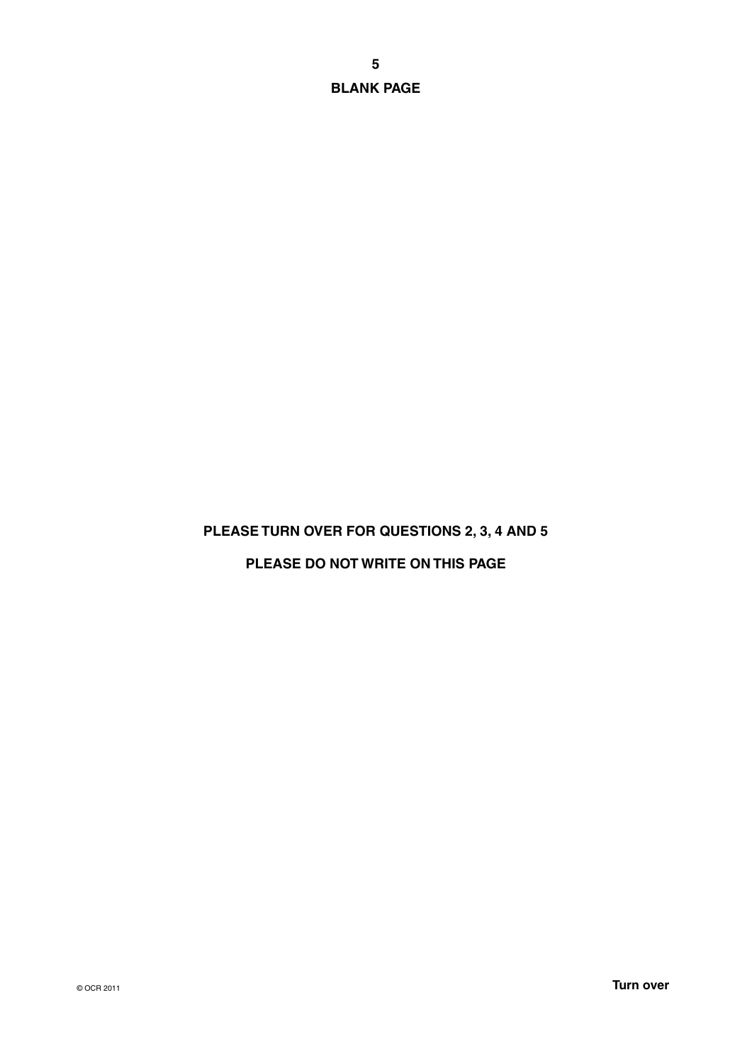**BLANK PAGE**

## **PLEASE TURN OVER FOR QUESTIONS 2, 3, 4 AND 5**

# **PLEASE DO NOT WRITE ON THIS PAGE**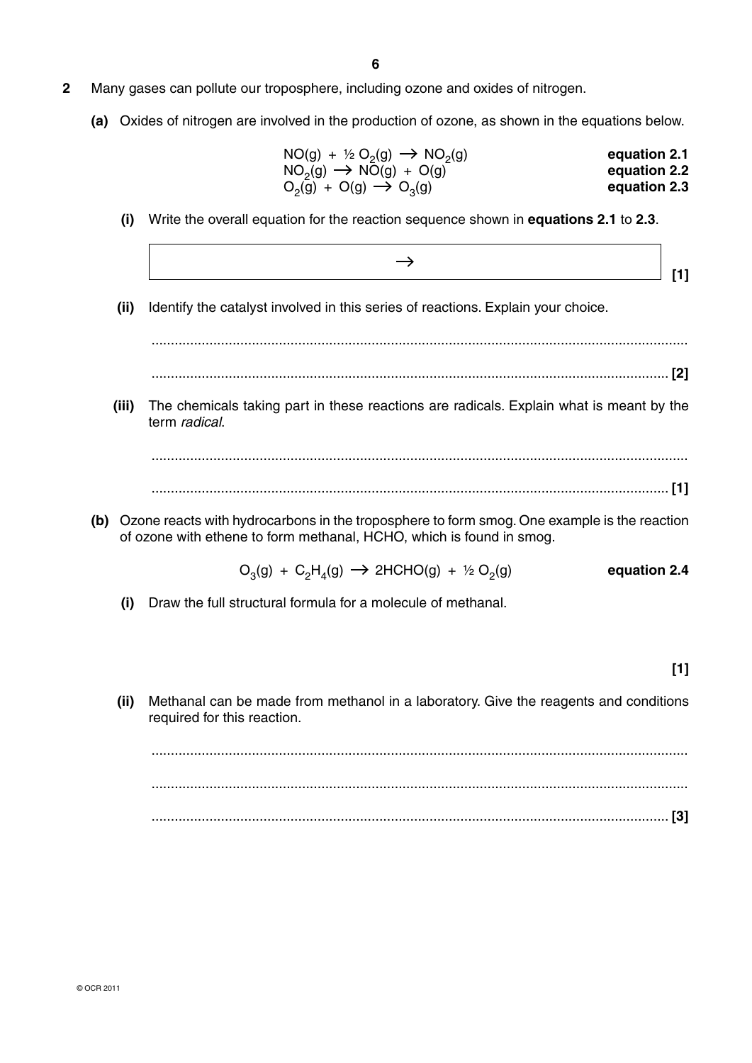#### **2** Many gases can pollute our troposphere, including ozone and oxides of nitrogen.

 **(a)** Oxides of nitrogen are involved in the production of ozone, as shown in the equations below.

| equation 2.1 | $NO(g) + \frac{1}{2} O_2(g) \rightarrow NO_2(g)$ |
|--------------|--------------------------------------------------|
| equation 2.2 | $NO2(g) \rightarrow NO(g) + O(g)$                |
| equation 2.3 | $O_2(g) + O(g) \rightarrow O_3(g)$               |

 **(i)** Write the overall equation for the reaction sequence shown in **equations 2.1** to **2.3**.

 $\rightarrow$ **1 b b c c c c f c f f f** 

 **(ii)** Identify the catalyst involved in this series of reactions. Explain your choice.

...........................................................................................................................................

...................................................................................................................................... **[2]**

 **(iii)** The chemicals taking part in these reactions are radicals. Explain what is meant by the term *radical*.

...........................................................................................................................................

...................................................................................................................................... **[1]**

 **(b)** Ozone reacts with hydrocarbons in the troposphere to form smog. One example is the reaction of ozone with ethene to form methanal, HCHO, which is found in smog.

 $O_3(g) + C_2H_4(g) \rightarrow 2HCHO(g) + \frac{1}{2}O_2(g)$  equation 2.4

 **(i)** Draw the full structural formula for a molecule of methanal.

**[1]**

 **(ii)** Methanal can be made from methanol in a laboratory. Give the reagents and conditions required for this reaction.

 ........................................................................................................................................... ........................................................................................................................................... ...................................................................................................................................... **[3]**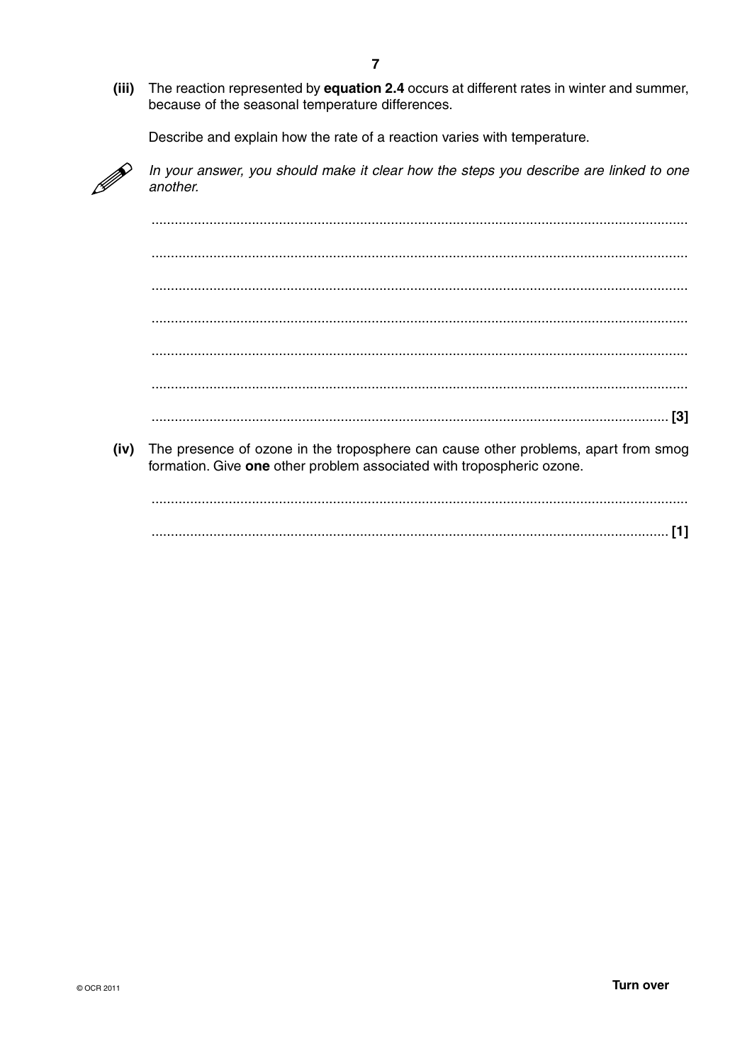$(iii)$ The reaction represented by equation 2.4 occurs at different rates in winter and summer, because of the seasonal temperature differences.

Describe and explain how the rate of a reaction varies with temperature.



In your answer, you should make it clear how the steps you describe are linked to one another.

 $(iv)$ The presence of ozone in the troposphere can cause other problems, apart from smog formation. Give one other problem associated with tropospheric ozone.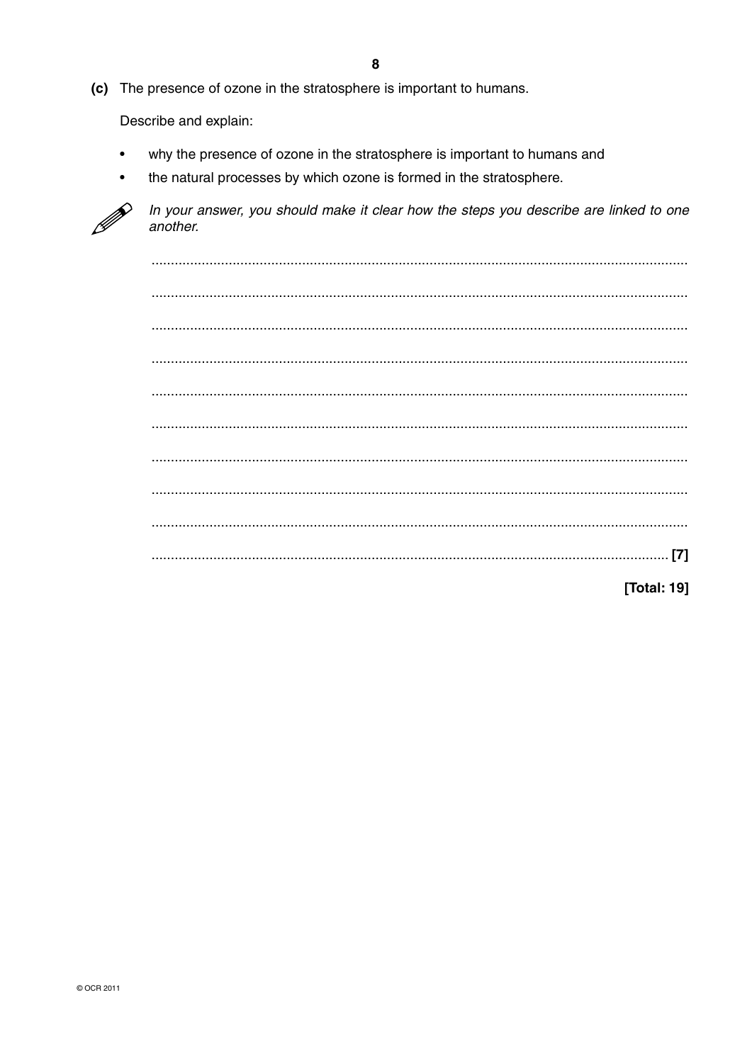(c) The presence of ozone in the stratosphere is important to humans.

Describe and explain:

- why the presence of ozone in the stratosphere is important to humans and  $\bullet$
- the natural processes by which ozone is formed in the stratosphere.



In your answer, you should make it clear how the steps you describe are linked to one another.

**[Total: 19]**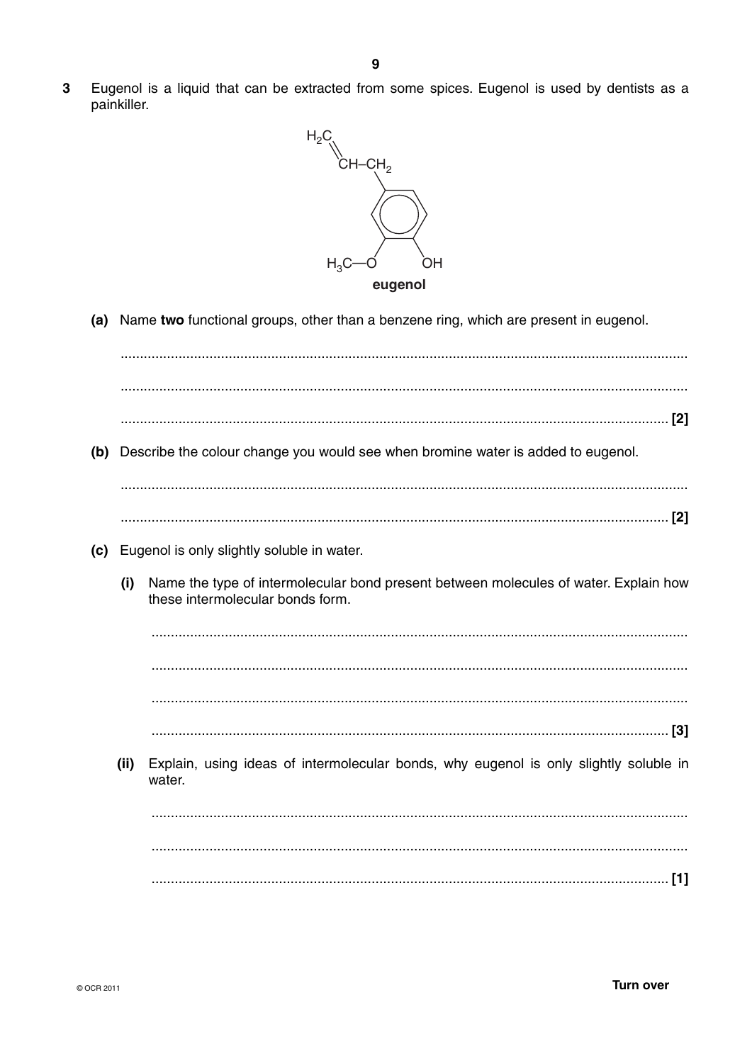

(a) Name two functional groups, other than a benzene ring, which are present in eugenol.

(b) Describe the colour change you would see when bromine water is added to eugenol. (c) Eugenol is only slightly soluble in water. Name the type of intermolecular bond present between molecules of water. Explain how  $(i)$ these intermolecular bonds form. Explain, using ideas of intermolecular bonds, why eugenol is only slightly soluble in  $(ii)$ water.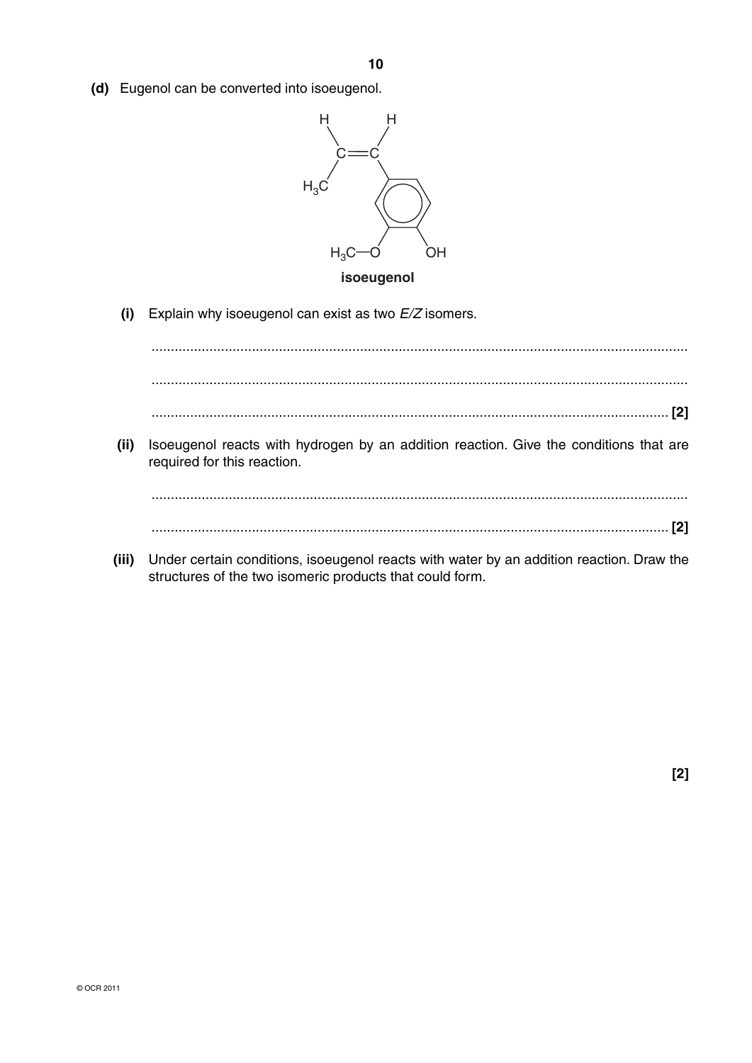**10**

 **(d)** Eugenol can be converted into isoeugenol.



 **(i)** Explain why isoeugenol can exist as two *E/Z* isomers.

 ........................................................................................................................................... ........................................................................................................................................... ...................................................................................................................................... **[2]**

 **(ii)** Isoeugenol reacts with hydrogen by an addition reaction. Give the conditions that are required for this reaction.

 ........................................................................................................................................... ...................................................................................................................................... **[2]**

 **(iii)** Under certain conditions, isoeugenol reacts with water by an addition reaction. Draw the structures of the two isomeric products that could form.

**[2]**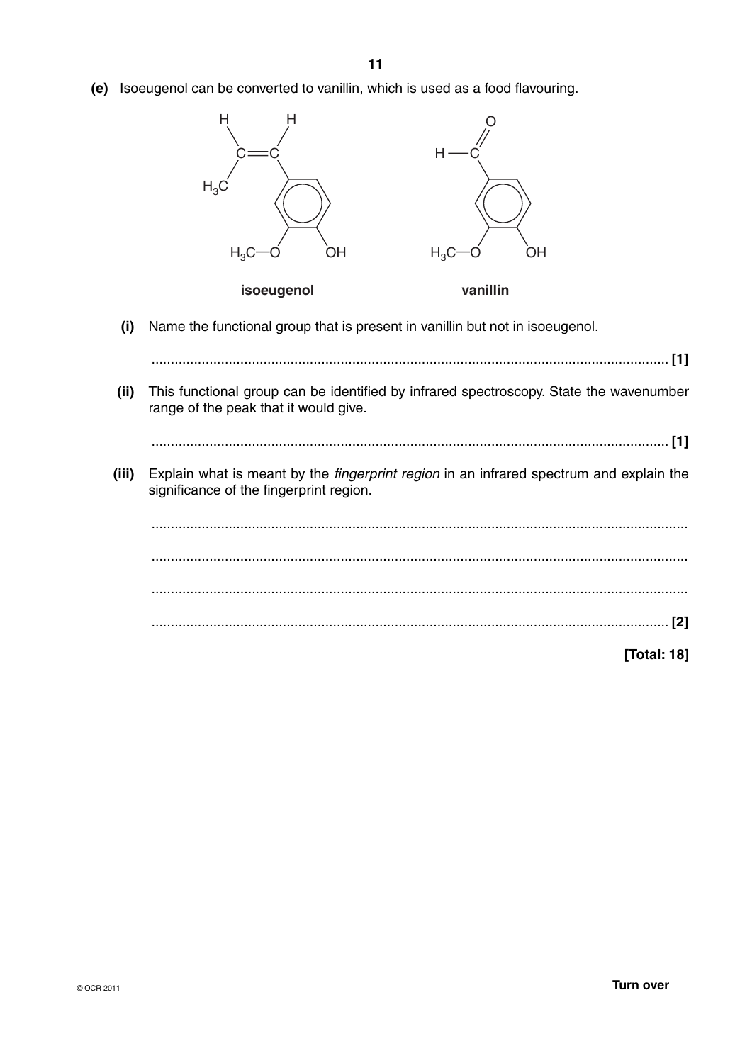**(e)** Isoeugenol can be converted to vanillin, which is used as a food flavouring.



 **(i)** Name the functional group that is present in vanillin but not in isoeugenol.

 ...................................................................................................................................... **[1] (ii)** This functional group can be identified by infrared spectroscopy. State the wavenumber range of the peak that it would give. ...................................................................................................................................... **[1] (iii)** Explain what is meant by the *fingerprint region* in an infrared spectrum and explain the significance of the fingerprint region. ........................................................................................................................................... ........................................................................................................................................... ........................................................................................................................................... ...................................................................................................................................... **[2] [Total: 18]**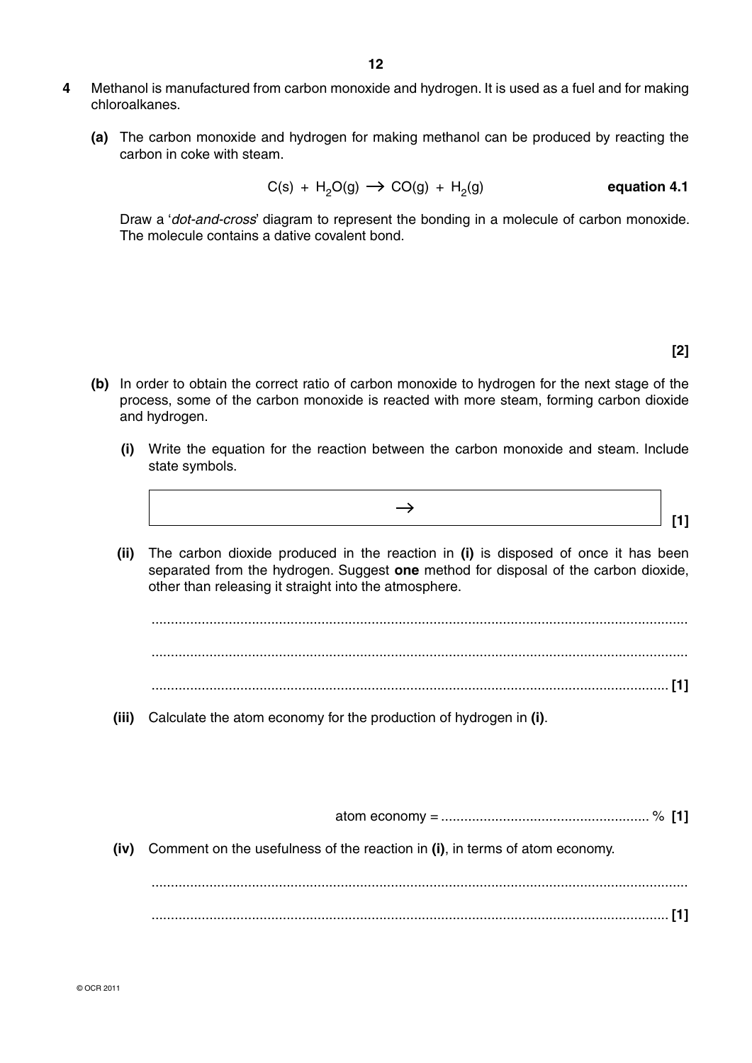- **4** Methanol is manufactured from carbon monoxide and hydrogen. It is used as a fuel and for making chloroalkanes.
	- **(a)** The carbon monoxide and hydrogen for making methanol can be produced by reacting the carbon in coke with steam.

$$
C(s) + H2O(g) \rightarrow CO(g) + H2(g)
$$
 **equation 4.1**

Draw a '*dot-and-cross*' diagram to represent the bonding in a molecule of carbon monoxide. The molecule contains a dative covalent bond.

**[2]**

- **(b)** In order to obtain the correct ratio of carbon monoxide to hydrogen for the next stage of the process, some of the carbon monoxide is reacted with more steam, forming carbon dioxide and hydrogen.
	- **(i)** Write the equation for the reaction between the carbon monoxide and steam. Include state symbols.
- $\rightarrow$ **1 b b c c f f f f** 
	- **(ii)** The carbon dioxide produced in the reaction in **(i)** is disposed of once it has been separated from the hydrogen. Suggest **one** method for disposal of the carbon dioxide, other than releasing it straight into the atmosphere.

 ........................................................................................................................................... ........................................................................................................................................... ...................................................................................................................................... **[1]**

 **(iii)** Calculate the atom economy for the production of hydrogen in **(i)**.

atom economy = ...................................................... % **[1]**

 **(iv)** Comment on the usefulness of the reaction in **(i)**, in terms of atom economy.

 ........................................................................................................................................... ...................................................................................................................................... **[1]**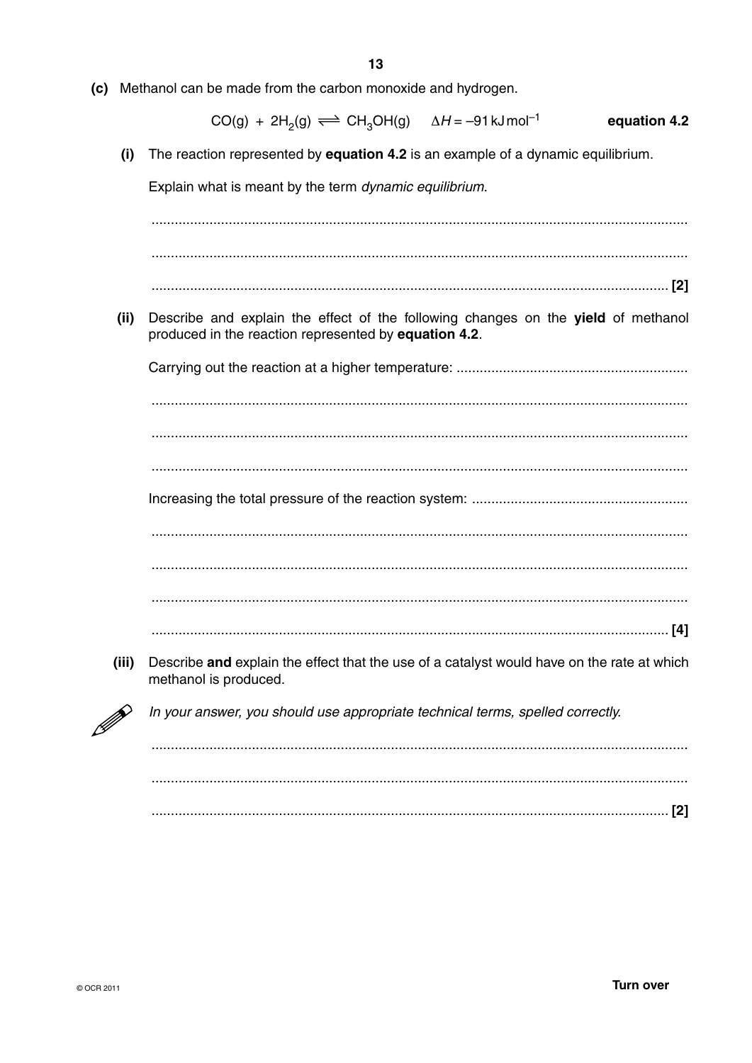(c) Methanol can be made from the carbon monoxide and hydrogen.

$$
CO(g) + 2H_2(g) \rightleftharpoons CH_3OH(g) \quad \Delta H = -91 \,\text{kJmol}^{-1} \qquad \text{equation 4.2}
$$

The reaction represented by equation 4.2 is an example of a dynamic equilibrium.  $(i)$ 

Explain what is meant by the term dynamic equilibrium.

Describe and explain the effect of the following changes on the yield of methanol  $(ii)$ produced in the reaction represented by equation 4.2. 

- 
- $(iii)$ Describe and explain the effect that the use of a catalyst would have on the rate at which methanol is produced.



In your answer, you should use appropriate technical terms, spelled correctly.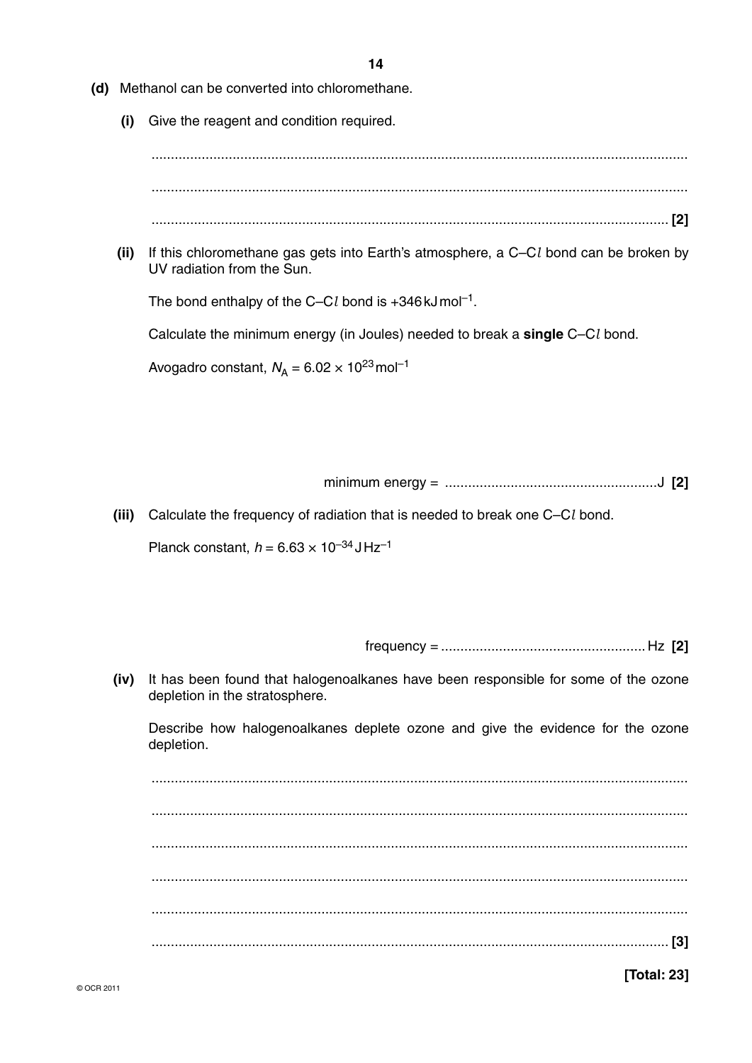- (d) Methanol can be converted into chloromethane.
	- (i) Give the reagent and condition required.

- 
- $(ii)$ If this chloromethane gas gets into Earth's atmosphere, a C-Cl bond can be broken by UV radiation from the Sun.

The bond enthalpy of the C-Cl bond is  $+346 \text{ kJ}$  mol<sup>-1</sup>.

Calculate the minimum energy (in Joules) needed to break a single C-Cl bond.

Avogadro constant,  $N_A = 6.02 \times 10^{23}$  mol<sup>-1</sup>

(iii) Calculate the frequency of radiation that is needed to break one C-Cl bond.

Planck constant.  $h = 6.63 \times 10^{-34}$  JHz<sup>-1</sup>

(iv) It has been found that halogenoalkanes have been responsible for some of the ozone depletion in the stratosphere.

Describe how halogenoalkanes deplete ozone and give the evidence for the ozone depletion.

[Total: 23]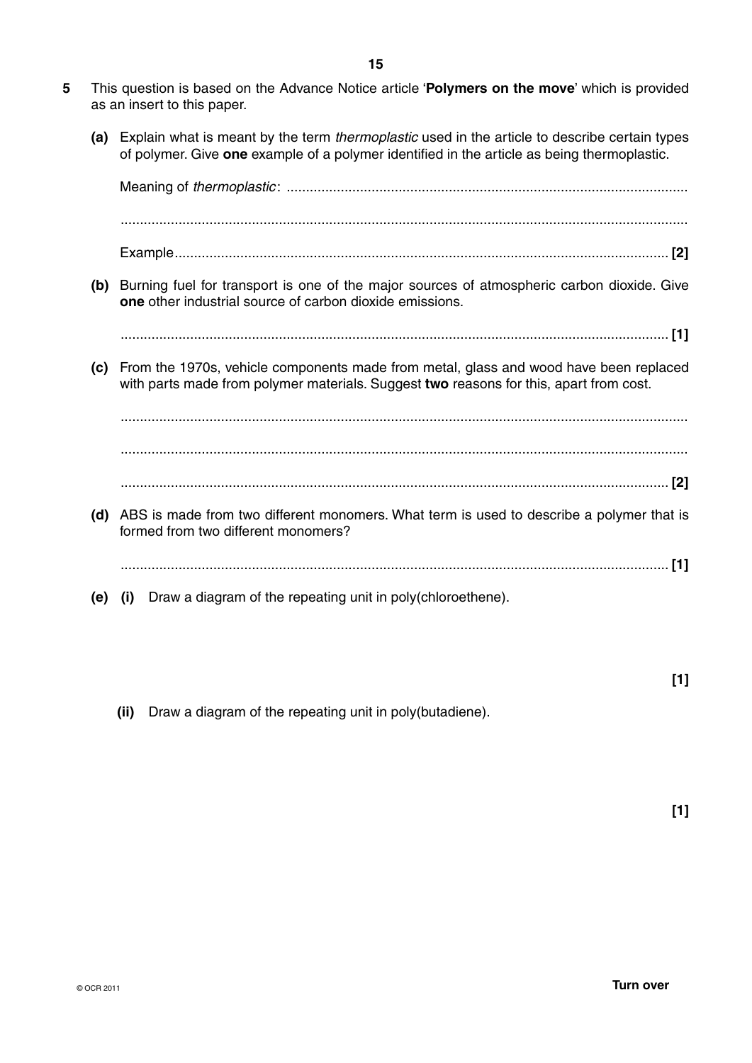- **5** This question is based on the Advance Notice article '**Polymers on the move**' which is provided as an insert to this paper.
	- **(a)** Explain what is meant by the term *thermoplastic* used in the article to describe certain types of polymer. Give **one** example of a polymer identified in the article as being thermoplastic.

|     | (b) Burning fuel for transport is one of the major sources of atmospheric carbon dioxide. Give<br><b>one</b> other industrial source of carbon dioxide emissions.               |
|-----|---------------------------------------------------------------------------------------------------------------------------------------------------------------------------------|
|     |                                                                                                                                                                                 |
| (c) | From the 1970s, vehicle components made from metal, glass and wood have been replaced<br>with parts made from polymer materials. Suggest two reasons for this, apart from cost. |
|     |                                                                                                                                                                                 |
|     |                                                                                                                                                                                 |
|     |                                                                                                                                                                                 |
| (d) | ABS is made from two different monomers. What term is used to describe a polymer that is<br>formed from two different monomers?                                                 |
|     |                                                                                                                                                                                 |
| (e) | Draw a diagram of the repeating unit in poly (chloroethene).<br>(i)                                                                                                             |

 **(ii)** Draw a diagram of the repeating unit in poly(butadiene).

**[1]**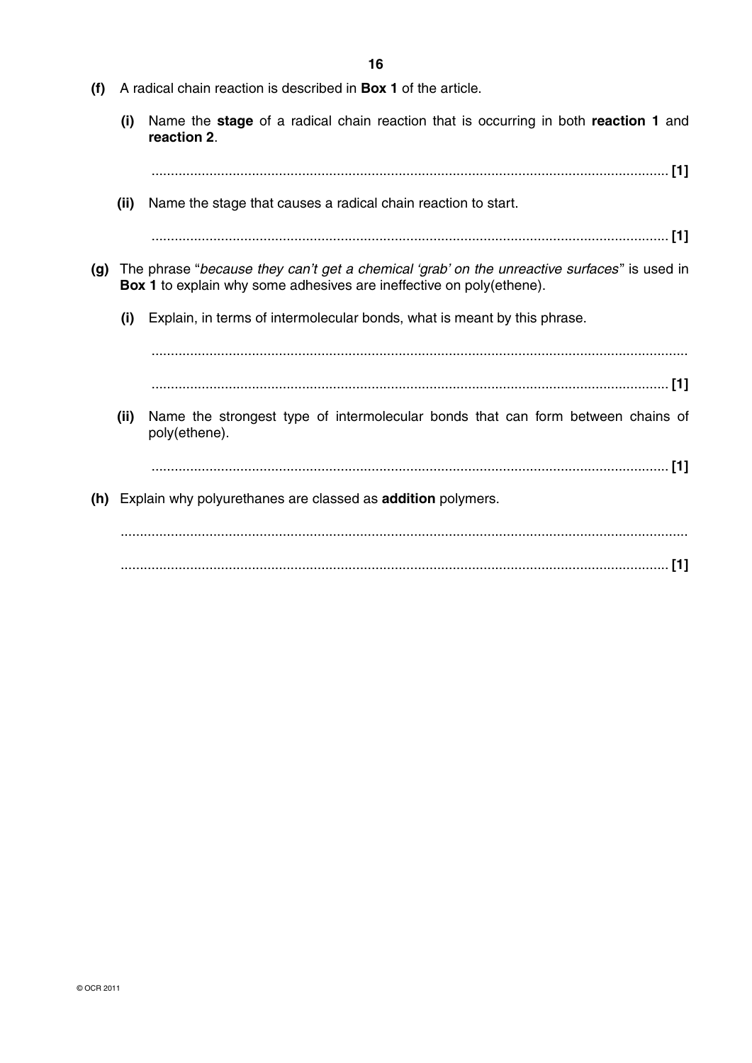- **(f)** A radical chain reaction is described in **Box 1** of the article.
	- **(i)** Name the **stage** of a radical chain reaction that is occurring in both **reaction 1** and **reaction 2**.

...................................................................................................................................... **[1]**

 **(ii)** Name the stage that causes a radical chain reaction to start.

...................................................................................................................................... **[1]**

- **(g)** The phrase "*because they can't get a chemical 'grab' on the unreactive surfaces* " is used in **Box 1** to explain why some adhesives are ineffective on poly(ethene).
	- **(i)** Explain, in terms of intermolecular bonds, what is meant by this phrase.

 ........................................................................................................................................... ...................................................................................................................................... **[1]**

 **(ii)** Name the strongest type of intermolecular bonds that can form between chains of poly(ethene).

...................................................................................................................................... **[1]**

 **(h)** Explain why polyurethanes are classed as **addition** polymers.

 ................................................................................................................................................... .............................................................................................................................................. **[1]**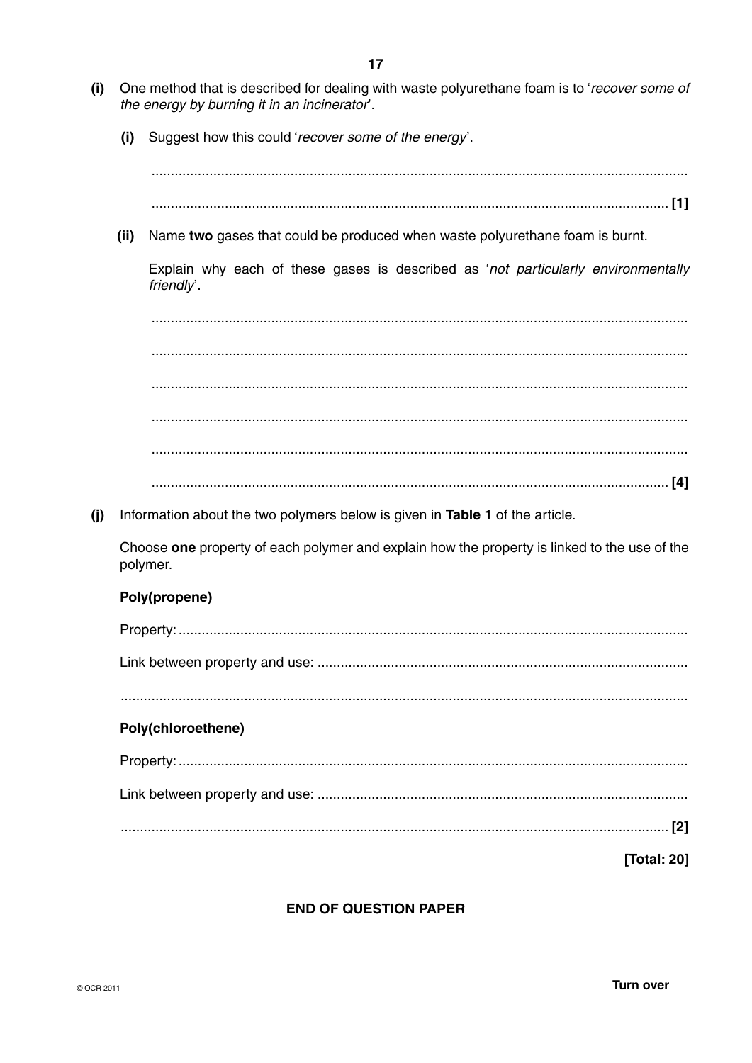- $(i)$ One method that is described for dealing with waste polyurethane foam is to 'recover some of the energy by burning it in an incinerator.
	- Suggest how this could 'recover some of the energy'.  $(i)$

 $\overline{a_1}$  , and the contribution of the contribution of the contribution of  $\overline{a_1}$  ,  $\overline{a_2}$  ,  $\overline{a_3}$  ,  $\overline{a_4}$  ,  $\overline{a_5}$  ,  $\overline{a_6}$  ,  $\overline{a_7}$  ,  $\overline{a_8}$  ,  $\overline{a_9}$  ,  $\overline{a_9}$  ,  $\overline{a_9}$  , 

(ii) Name two gases that could be produced when waste polyurethane foam is burnt.

Explain why each of these gases is described as 'not particularly environmentally friendly'.

(j) Information about the two polymers below is given in Table 1 of the article.

Choose one property of each polymer and explain how the property is linked to the use of the polymer.

### Poly(propene)

| Poly(chloroethene) |
|--------------------|
|                    |
|                    |
|                    |
| <b>Total: 201</b>  |

### **END OF QUESTION PAPER**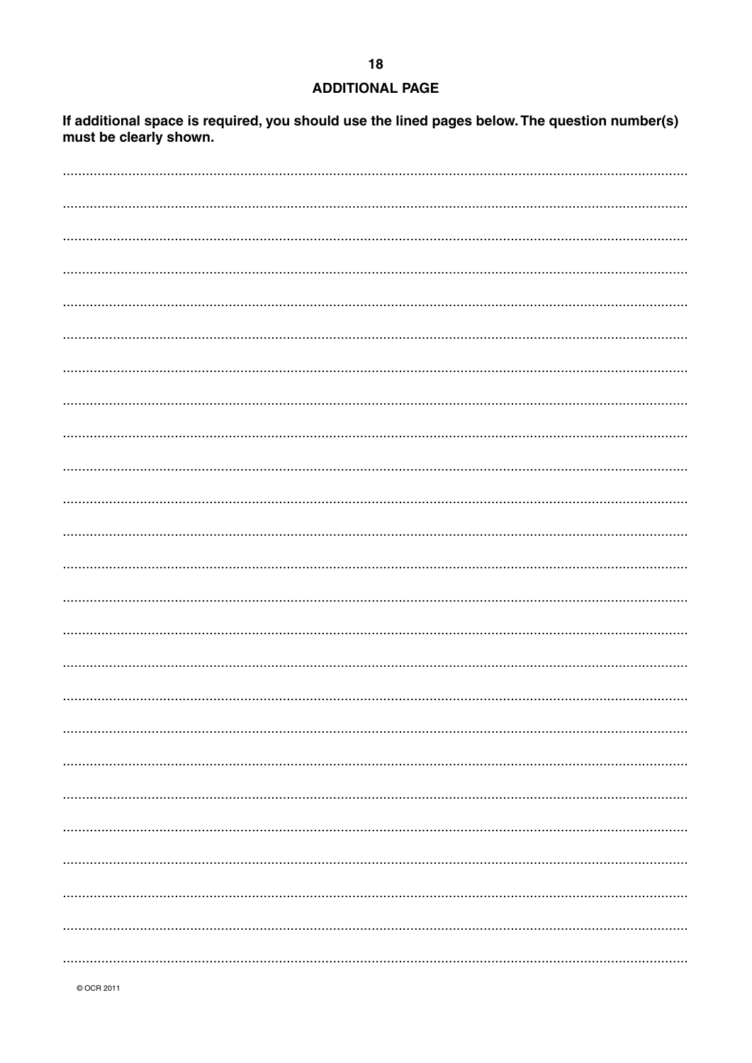#### **ADDITIONAL PAGE**

If additional space is required, you should use the lined pages below. The question number(s) must be clearly shown.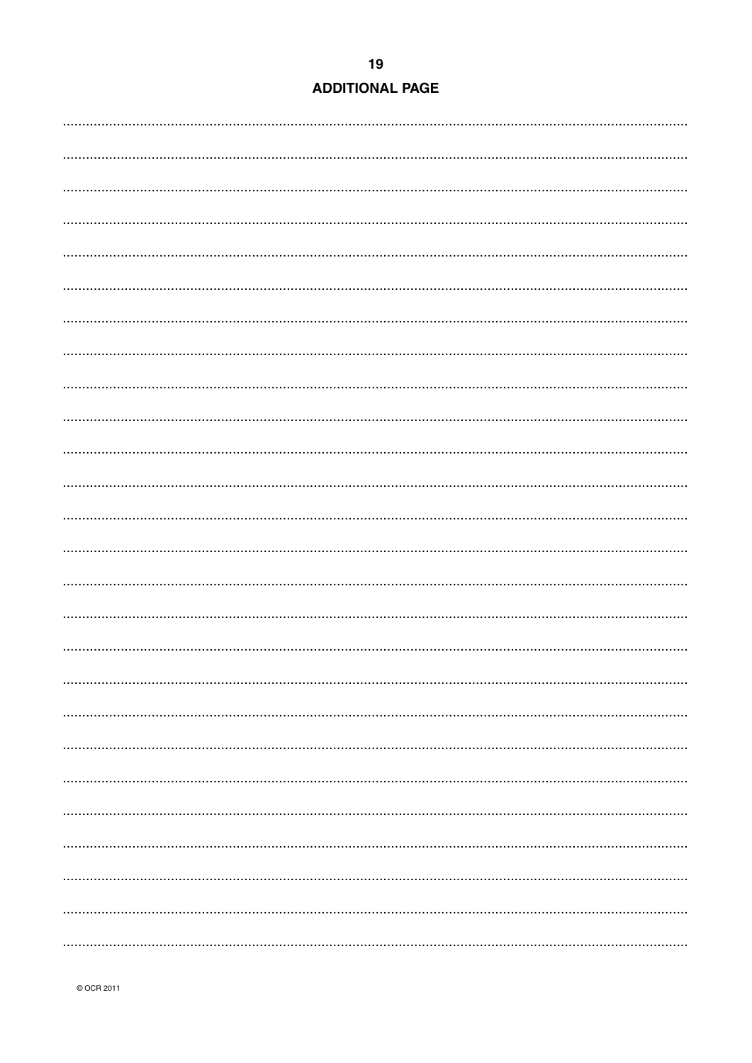|  | <b>ADDITIONAL PAGE</b> |  |  |
|--|------------------------|--|--|
|  |                        |  |  |